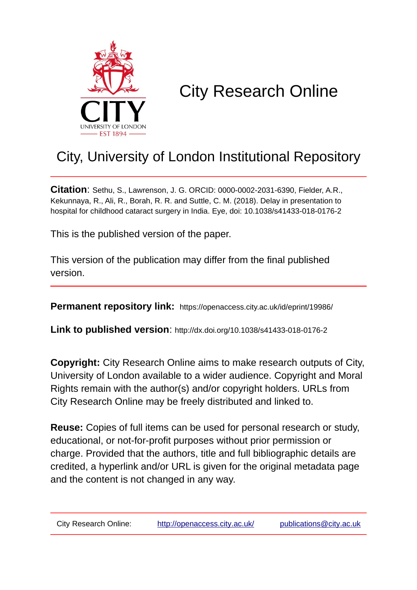

# City Research Online

## City, University of London Institutional Repository

**Citation**: Sethu, S., Lawrenson, J. G. ORCID: 0000-0002-2031-6390, Fielder, A.R., Kekunnaya, R., Ali, R., Borah, R. R. and Suttle, C. M. (2018). Delay in presentation to hospital for childhood cataract surgery in India. Eye, doi: 10.1038/s41433-018-0176-2

This is the published version of the paper.

This version of the publication may differ from the final published version.

**Permanent repository link:** https://openaccess.city.ac.uk/id/eprint/19986/

**Link to published version**: http://dx.doi.org/10.1038/s41433-018-0176-2

**Copyright:** City Research Online aims to make research outputs of City, University of London available to a wider audience. Copyright and Moral Rights remain with the author(s) and/or copyright holders. URLs from City Research Online may be freely distributed and linked to.

**Reuse:** Copies of full items can be used for personal research or study, educational, or not-for-profit purposes without prior permission or charge. Provided that the authors, title and full bibliographic details are credited, a hyperlink and/or URL is given for the original metadata page and the content is not changed in any way.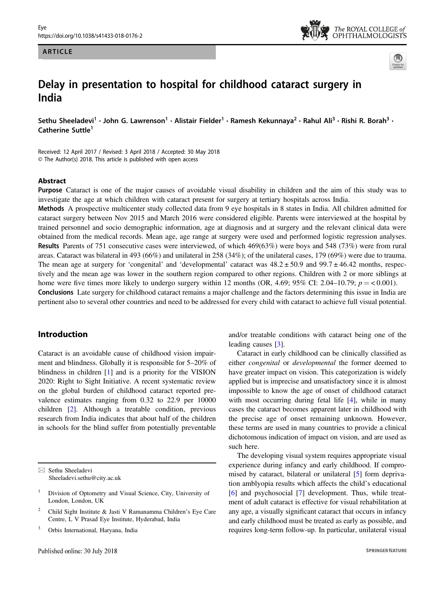#### ARTICLE





### Delay in presentation to hospital for childhood cataract surgery in India

Sethu Sheeladevi<sup>1</sup> • John G. Lawrenson<sup>1</sup> • Alistair Fielder<sup>1</sup> • Ramesh Kekunnava<sup>2</sup> • Rahul Ali<sup>3</sup> • Rishi R. Borah<sup>3</sup> • Catherine Suttle<sup>1</sup>

Received: 12 April 2017 / Revised: 3 April 2018 / Accepted: 30 May 2018 © The Author(s) 2018. This article is published with open access

#### Abstract

Purpose Cataract is one of the major causes of avoidable visual disability in children and the aim of this study was to investigate the age at which children with cataract present for surgery at tertiary hospitals across India.

Methods A prospective multicenter study collected data from 9 eye hospitals in 8 states in India. All children admitted for cataract surgery between Nov 2015 and March 2016 were considered eligible. Parents were interviewed at the hospital by trained personnel and socio demographic information, age at diagnosis and at surgery and the relevant clinical data were obtained from the medical records. Mean age, age range at surgery were used and performed logistic regression analyses. Results Parents of 751 consecutive cases were interviewed, of which 469(63%) were boys and 548 (73%) were from rural areas. Cataract was bilateral in 493 (66%) and unilateral in 258 (34%); of the unilateral cases, 179 (69%) were due to trauma. The mean age at surgery for 'congenital' and 'developmental' cataract was  $48.2 \pm 50.9$  and  $99.7 \pm 46.42$  months, respectively and the mean age was lower in the southern region compared to other regions. Children with 2 or more siblings at home were five times more likely to undergo surgery within 12 months (OR, 4.69; 95% CI: 2.04–10.79;  $p = < 0.001$ ). Conclusions Late surgery for childhood cataract remains a major challenge and the factors determining this issue in India are pertinent also to several other countries and need to be addressed for every child with cataract to achieve full visual potential.

#### Introduction

Cataract is an avoidable cause of childhood vision impairment and blindness. Globally it is responsible for 5–20% of blindness in children [[1\]](#page-8-0) and is a priority for the VISION 2020: Right to Sight Initiative. A recent systematic review on the global burden of childhood cataract reported prevalence estimates ranging from 0.32 to 22.9 per 10000 children [[2\]](#page-8-0). Although a treatable condition, previous research from India indicates that about half of the children in schools for the blind suffer from potentially preventable

 $\boxtimes$  Sethu Sheeladevi [Sheeladevi.sethu@city.ac.uk](mailto:Sheeladevi.sethu@city.ac.uk) and/or treatable conditions with cataract being one of the leading causes [[3\]](#page-8-0).

Cataract in early childhood can be clinically classified as either congenital or developmental the former deemed to have greater impact on vision. This categorization is widely applied but is imprecise and unsatisfactory since it is almost impossible to know the age of onset of childhood cataract with most occurring during fetal life [[4\]](#page-8-0), while in many cases the cataract becomes apparent later in childhood with the precise age of onset remaining unknown. However, these terms are used in many countries to provide a clinical dichotomous indication of impact on vision, and are used as such here.

The developing visual system requires appropriate visual experience during infancy and early childhood. If compromised by cataract, bilateral or unilateral [\[5](#page-8-0)] form deprivation amblyopia results which affects the child's educational [\[6](#page-8-0)] and psychosocial [[7\]](#page-8-0) development. Thus, while treatment of adult cataract is effective for visual rehabilitation at any age, a visually significant cataract that occurs in infancy and early childhood must be treated as early as possible, and requires long-term follow-up. In particular, unilateral visual

<sup>1</sup> Division of Optometry and Visual Science, City, University of London, London, UK

<sup>2</sup> Child Sight Institute & Jasti V Ramanamma Children's Eye Care Centre, L V Prasad Eye Institute, Hyderabad, India

<sup>3</sup> Orbis International, Haryana, India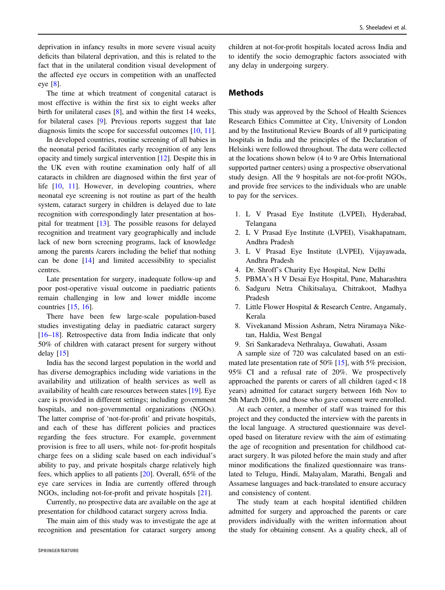deprivation in infancy results in more severe visual acuity deficits than bilateral deprivation, and this is related to the fact that in the unilateral condition visual development of the affected eye occurs in competition with an unaffected eye [\[8](#page-8-0)].

The time at which treatment of congenital cataract is most effective is within the first six to eight weeks after birth for unilateral cases [\[8\]](#page-8-0), and within the first 14 weeks, for bilateral cases [\[9](#page-8-0)]. Previous reports suggest that late diagnosis limits the scope for successful outcomes [\[10](#page-8-0), [11](#page-8-0)].

In developed countries, routine screening of all babies in the neonatal period facilitates early recognition of any lens opacity and timely surgical intervention [[12\]](#page-8-0). Despite this in the UK even with routine examination only half of all cataracts in children are diagnosed within the first year of life [[10,](#page-8-0) [11](#page-8-0)]. However, in developing countries, where neonatal eye screening is not routine as part of the health system, cataract surgery in children is delayed due to late recognition with correspondingly later presentation at hospital for treatment [[13\]](#page-8-0). The possible reasons for delayed recognition and treatment vary geographically and include lack of new born screening programs, lack of knowledge among the parents /carers including the belief that nothing can be done [\[14](#page-8-0)] and limited accessibility to specialist centres.

Late presentation for surgery, inadequate follow-up and poor post-operative visual outcome in paediatric patients remain challenging in low and lower middle income countries [[15,](#page-8-0) [16\]](#page-8-0).

There have been few large-scale population-based studies investigating delay in paediatric cataract surgery [\[16](#page-8-0)–[18](#page-8-0)]. Retrospective data from India indicate that only 50% of children with cataract present for surgery without delay [[15\]](#page-8-0)

India has the second largest population in the world and has diverse demographics including wide variations in the availability and utilization of health services as well as availability of health care resources between states [[19\]](#page-8-0). Eye care is provided in different settings; including government hospitals, and non-governmental organizations (NGOs). The latter comprise of 'not-for-profit' and private hospitals, and each of these has different policies and practices regarding the fees structure. For example, government provision is free to all users, while not- for-profit hospitals charge fees on a sliding scale based on each individual's ability to pay, and private hospitals charge relatively high fees, which applies to all patients [[20\]](#page-8-0). Overall, 65% of the eye care services in India are currently offered through NGOs, including not-for-profit and private hospitals [\[21](#page-8-0)].

Currently, no prospective data are available on the age at presentation for childhood cataract surgery across India.

The main aim of this study was to investigate the age at recognition and presentation for cataract surgery among children at not-for-profit hospitals located across India and to identify the socio demographic factors associated with any delay in undergoing surgery.

#### Methods

This study was approved by the School of Health Sciences Research Ethics Committee at City, University of London and by the Institutional Review Boards of all 9 participating hospitals in India and the principles of the Declaration of Helsinki were followed throughout. The data were collected at the locations shown below (4 to 9 are Orbis International supported partner centers) using a prospective observational study design. All the 9 hospitals are not-for-profit NGOs, and provide free services to the individuals who are unable to pay for the services.

- 1. L V Prasad Eye Institute (LVPEI), Hyderabad, Telangana
- 2. L V Prasad Eye Institute (LVPEI), Visakhapatnam, Andhra Pradesh
- 3. L V Prasad Eye Institute (LVPEI), Vijayawada, Andhra Pradesh
- 4. Dr. Shroff's Charity Eye Hospital, New Delhi
- 5. PBMA's H V Desai Eye Hospital, Pune, Maharashtra
- 6. Sadguru Netra Chikitsalaya, Chitrakoot, Madhya Pradesh
- 7. Little Flower Hospital & Research Centre, Angamaly, Kerala
- 8. Vivekanand Mission Ashram, Netra Niramaya Niketan, Haldia, West Bengal
- 9. Sri Sankaradeva Nethralaya, Guwahati, Assam

A sample size of 720 was calculated based on an estimated late presentation rate of 50% [[15\]](#page-8-0), with 5% precision, 95% CI and a refusal rate of 20%. We prospectively approached the parents or carers of all children (aged < 18 years) admitted for cataract surgery between 16th Nov to 5th March 2016, and those who gave consent were enrolled.

At each center, a member of staff was trained for this project and they conducted the interview with the parents in the local language. A structured questionnaire was developed based on literature review with the aim of estimating the age of recognition and presentation for childhood cataract surgery. It was piloted before the main study and after minor modifications the finalized questionnaire was translated to Telugu, Hindi, Malayalam, Marathi, Bengali and Assamese languages and back-translated to ensure accuracy and consistency of content.

The study team at each hospital identified children admitted for surgery and approached the parents or care providers individually with the written information about the study for obtaining consent. As a quality check, all of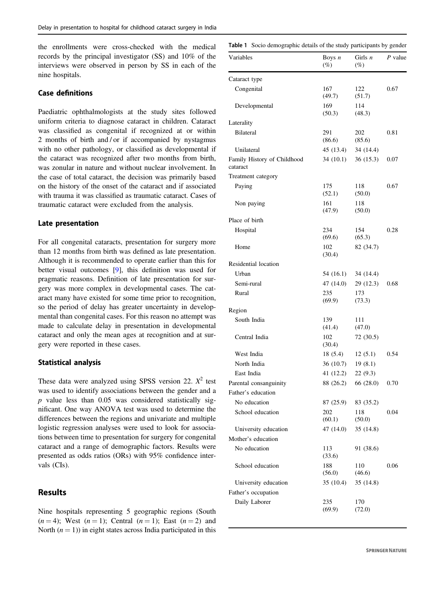<span id="page-3-0"></span>the enrollments were cross-checked with the medical records by the principal investigator (SS) and 10% of the interviews were observed in person by SS in each of the nine hospitals.

#### Case definitions

Paediatric ophthalmologists at the study sites followed uniform criteria to diagnose cataract in children. Cataract was classified as congenital if recognized at or within 2 months of birth and / or if accompanied by nystagmus with no other pathology, or classified as developmental if the cataract was recognized after two months from birth, was zonular in nature and without nuclear involvement. In the case of total cataract, the decision was primarily based on the history of the onset of the cataract and if associated with trauma it was classified as traumatic cataract. Cases of traumatic cataract were excluded from the analysis.

#### Late presentation

For all congenital cataracts, presentation for surgery more than 12 months from birth was defined as late presentation. Although it is recommended to operate earlier than this for better visual outcomes [\[9](#page-8-0)], this definition was used for pragmatic reasons. Definition of late presentation for surgery was more complex in developmental cases. The cataract many have existed for some time prior to recognition, so the period of delay has greater uncertainty in developmental than congenital cases. For this reason no attempt was made to calculate delay in presentation in developmental cataract and only the mean ages at recognition and at surgery were reported in these cases.

#### Statistical analysis

These data were analyzed using SPSS version 22.  $X^2$  test was used to identify associations between the gender and a  $p$  value less than 0.05 was considered statistically significant. One way ANOVA test was used to determine the differences between the regions and univariate and multiple logistic regression analyses were used to look for associations between time to presentation for surgery for congenital cataract and a range of demographic factors. Results were presented as odds ratios (ORs) with 95% confidence intervals (CIs).

#### Results

Nine hospitals representing 5 geographic regions (South  $(n = 4)$ ; West  $(n = 1)$ ; Central  $(n = 1)$ ; East  $(n = 2)$  and North  $(n = 1)$ ) in eight states across India participated in this

| Table 1 Socio demographic details of the study participants by gender |                    |                     |         |  |  |
|-----------------------------------------------------------------------|--------------------|---------------------|---------|--|--|
| Variables                                                             | Boys $n$<br>$(\%)$ | Girls $n$<br>$(\%)$ | P value |  |  |
| Cataract type                                                         |                    |                     |         |  |  |
| Congenital                                                            | 167<br>(49.7)      | 122<br>(51.7)       | 0.67    |  |  |
| Developmental                                                         | 169<br>(50.3)      | 114<br>(48.3)       |         |  |  |
| Laterality                                                            |                    |                     |         |  |  |
| <b>Bilateral</b>                                                      | 291<br>(86.6)      | 202<br>(85.6)       | 0.81    |  |  |
| Unilateral                                                            | 45 (13.4)          | 34 (14.4)           |         |  |  |
| Family History of Childhood<br>cataract                               | 34(10.1)           | 36(15.3)            | 0.07    |  |  |
| Treatment category                                                    |                    |                     |         |  |  |
| Paying                                                                | 175<br>(52.1)      | 118<br>(50.0)       | 0.67    |  |  |
| Non paying                                                            | 161<br>(47.9)      | 118<br>(50.0)       |         |  |  |
| Place of birth                                                        |                    |                     |         |  |  |
| Hospital                                                              | 234<br>(69.6)      | 154<br>(65.3)       | 0.28    |  |  |
| Home                                                                  | 102<br>(30.4)      | 82 (34.7)           |         |  |  |
| Residential location                                                  |                    |                     |         |  |  |
| Urban                                                                 | 54 (16.1)          | 34 (14.4)           |         |  |  |
| Semi-rural                                                            | 47 (14.0)          | 29 (12.3)           | 0.68    |  |  |
| Rural                                                                 | 235<br>(69.9)      | 173<br>(73.3)       |         |  |  |
| Region                                                                |                    |                     |         |  |  |
| South India                                                           | 139<br>(41.4)      | 111<br>(47.0)       |         |  |  |
| Central India                                                         | 102<br>(30.4)      | 72 (30.5)           |         |  |  |
| West India                                                            | 18(5.4)            | 12(5.1)             | 0.54    |  |  |
| North India                                                           | 36 (10.7)          | 19(8.1)             |         |  |  |
| East India                                                            | 41 (12.2)          | 22 (9.3)            |         |  |  |
| Parental consanguinity                                                | 88 (26.2)          | 66 (28.0)           | 0.70    |  |  |
| Father's education                                                    |                    |                     |         |  |  |
| No education                                                          | 87 (25.9)          | 83 (35.2)           |         |  |  |
| School education                                                      | 202<br>(60.1)      | 118<br>(50.0)       | 0.04    |  |  |
| University education                                                  | 47 (14.0)          | 35 (14.8)           |         |  |  |
| Mother's education                                                    |                    |                     |         |  |  |
| No education                                                          | 113<br>(33.6)      | 91 (38.6)           |         |  |  |
| School education                                                      | 188<br>(56.0)      | 110<br>(46.6)       | 0.06    |  |  |
| University education                                                  | 35 (10.4)          | 35 (14.8)           |         |  |  |
| Father's occupation                                                   |                    |                     |         |  |  |
| Daily Laborer                                                         | 235<br>(69.9)      | 170<br>(72.0)       |         |  |  |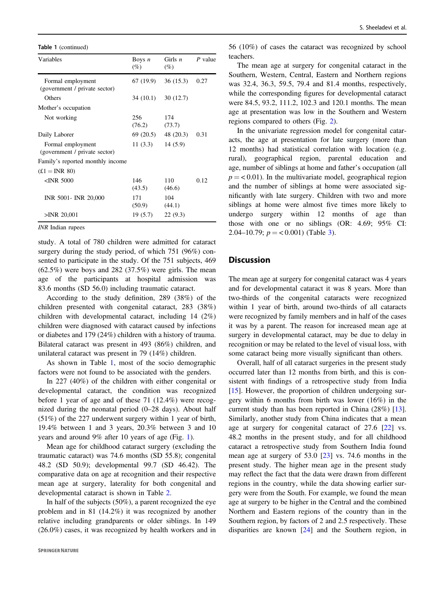Table 1 (continued)

| Variables                                          | Boys $n$<br>(%)     | Girls $n$<br>$(\%)$   | $P$ value |
|----------------------------------------------------|---------------------|-----------------------|-----------|
| Formal employment<br>(government / private sector) |                     | $67(19.9)$ $36(15.3)$ | 0.27      |
| Others                                             |                     | $34(10.1)$ $30(12.7)$ |           |
| Mother's occupation                                |                     |                       |           |
| Not working                                        | 256<br>(76.2)       | 174<br>(73.7)         |           |
| Daily Laborer                                      |                     | $69(20.5)$ 48 (20.3)  | 0.31      |
| Formal employment<br>(government / private sector) | $11(3.3)$ $14(5.9)$ |                       |           |
| Family's reported monthly income                   |                     |                       |           |
| $(E1 = \text{INR } 80)$                            |                     |                       |           |
| $\leq$ INR 5000                                    | 146<br>(43.5)       | 110<br>(46.6)         | 0.12      |
| INR 5001- INR 20,000                               | 171<br>(50.9)       | 104<br>(44.1)         |           |
| $>$ INR 20,001                                     | 19 (5.7)            | 22(9.3)               |           |

INR Indian rupees

study. A total of 780 children were admitted for cataract surgery during the study period, of which 751 (96%) consented to participate in the study. Of the 751 subjects, 469  $(62.5\%)$  were boys and 282 (37.5%) were girls. The mean age of the participants at hospital admission was 83.6 months (SD 56.0) including traumatic cataract.

According to the study definition, 289 (38%) of the children presented with congenital cataract, 283 (38%) children with developmental cataract, including 14 (2%) children were diagnosed with cataract caused by infections or diabetes and 179 (24%) children with a history of trauma. Bilateral cataract was present in 493 (86%) children, and unilateral cataract was present in 79 (14%) children.

As shown in Table [1](#page-3-0), most of the socio demographic factors were not found to be associated with the genders.

In 227 (40%) of the children with either congenital or developmental cataract, the condition was recognized before 1 year of age and of these 71 (12.4%) were recognized during the neonatal period (0–28 days). About half (51%) of the 227 underwent surgery within 1 year of birth, 19.4% between 1 and 3 years, 20.3% between 3 and 10 years and around 9% after 10 years of age (Fig. [1\)](#page-5-0).

Mean age for childhood cataract surgery (excluding the traumatic cataract) was 74.6 months (SD 55.8); congenital 48.2 (SD 50.9); developmental 99.7 (SD 46.42). The comparative data on age at recognition and their respective mean age at surgery, laterality for both congenital and developmental cataract is shown in Table [2](#page-5-0).

In half of the subjects (50%), a parent recognized the eye problem and in 81 (14.2%) it was recognized by another relative including grandparents or older siblings. In 149 (26.0%) cases, it was recognized by health workers and in

56 (10%) of cases the cataract was recognized by school teachers.

The mean age at surgery for congenital cataract in the Southern, Western, Central, Eastern and Northern regions was 32.4, 36.3, 59.5, 79.4 and 81.4 months, respectively, while the corresponding figures for developmental cataract were 84.5, 93.2, 111.2, 102.3 and 120.1 months. The mean age at presentation was low in the Southern and Western regions compared to others (Fig. [2\)](#page-6-0).

In the univariate regression model for congenital cataracts, the age at presentation for late surgery (more than 12 months) had statistical correlation with location (e.g. rural), geographical region, parental education and age, number of siblings at home and father's occupation (all  $p = < 0.01$ ). In the multivariate model, geographical region and the number of siblings at home were associated significantly with late surgery. Children with two and more siblings at home were almost five times more likely to undergo surgery within 12 months of age than those with one or no siblings (OR: 4.69; 95% CI: 2.04–10.79;  $p = < 0.001$ ) (Table [3](#page-6-0)).

#### **Discussion**

The mean age at surgery for congenital cataract was 4 years and for developmental cataract it was 8 years. More than two-thirds of the congenital cataracts were recognized within 1 year of birth, around two-thirds of all cataracts were recognized by family members and in half of the cases it was by a parent. The reason for increased mean age at surgery in developmental cataract, may be due to delay in recognition or may be related to the level of visual loss, with some cataract being more visually significant than others.

Overall, half of all cataract surgeries in the present study occurred later than 12 months from birth, and this is consistent with findings of a retrospective study from India [\[15](#page-8-0)]. However, the proportion of children undergoing surgery within 6 months from birth was lower (16%) in the current study than has been reported in China (28%) [[13\]](#page-8-0). Similarly, another study from China indicates that a mean age at surgery for congenital cataract of 27.6 [\[22](#page-8-0)] vs. 48.2 months in the present study, and for all childhood cataract a retrospective study from Southern India found mean age at surgery of 53.0 [\[23](#page-8-0)] vs. 74.6 months in the present study. The higher mean age in the present study may reflect the fact that the data were drawn from different regions in the country, while the data showing earlier surgery were from the South. For example, we found the mean age at surgery to be higher in the Central and the combined Northern and Eastern regions of the country than in the Southern region, by factors of 2 and 2.5 respectively. These disparities are known [[24\]](#page-8-0) and the Southern region, in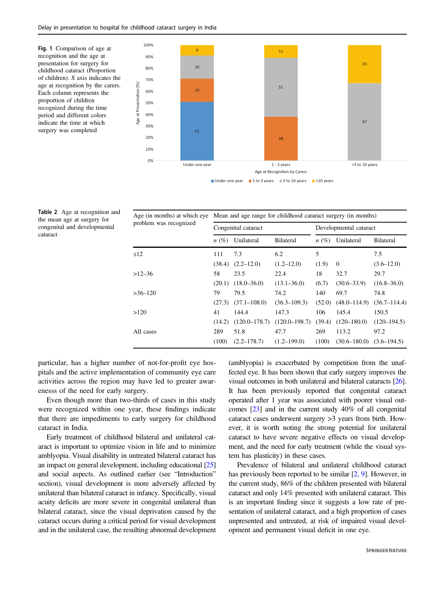<span id="page-5-0"></span>Fig. 1 Comparison of age at recognition and the age at presentation for surgery for childhood cataract (Proportion of children). X axis indicates the age at recognition by the carers. Each column represents the proportion of children recognized during the time period and different colors indicate the time at which surgery was completed



| Table 2 Age at recognition and |
|--------------------------------|
| the mean age at surgery for    |
| congenital and developmental   |
| cataract                       |

| Age (in months) at which eye<br>problem was recognized | Mean and age range for childhood cataract surgery (in months) |                   |                   |                        |                                  |                  |
|--------------------------------------------------------|---------------------------------------------------------------|-------------------|-------------------|------------------------|----------------------------------|------------------|
|                                                        | Congenital cataract                                           |                   |                   | Developmental cataract |                                  |                  |
|                                                        | $n(\%)$                                                       | Unilateral        | <b>Bilateral</b>  | $n(\%)$                | Unilateral                       | <b>Bilateral</b> |
| $\leq$ 12                                              | 111                                                           | 7.3               | 6.2               | 5                      |                                  | 7.5              |
|                                                        | (38.4)                                                        | $(2.2 - 12.0)$    | $(1.2 - 12.0)$    | (1.9)                  | $\Omega$                         | $(3.6 - 12.0)$   |
| $>12-36$                                               | 58                                                            | 23.5              | 22.4              | 18                     | 32.7                             | 29.7             |
|                                                        | (20.1)                                                        | $(18.0 - 36.0)$   | $(13.1 - 36.0)$   | (6.7)                  | $(30.6 - 33.9)$                  | $(16.8 - 36.0)$  |
| $>36-120$                                              | 79                                                            | 79.5              | 74.2              | 140                    | 69.7                             | 74.8             |
|                                                        | (27.3)                                                        | $(37.1 - 108.0)$  | $(36.3 - 109.3)$  | (52.0)                 | $(48.0 - 114.9)$                 | $(36.7 - 114.4)$ |
| >120                                                   | 41                                                            | 144.4             | 147.3             | 106                    | 145.4                            | 150.5            |
|                                                        | (14.2)                                                        | $(120.0 - 178.7)$ | $(120.0 - 198.7)$ | (39.4)                 | $(120-180.0)$                    | $(120-194.5)$    |
| All cases                                              | 289                                                           | 51.8              | 47.7              | 269                    | 113.2                            | 97.2             |
|                                                        | (100)                                                         | $(2.2 - 178.7)$   | $(1.2 - 199.0)$   | (100)                  | $(30.6 - 180.0)$ $(3.6 - 194.5)$ |                  |

particular, has a higher number of not-for-profit eye hospitals and the active implementation of community eye care activities across the region may have led to greater awarenesss of the need for early surgery.

Even though more than two-thirds of cases in this study were recognized within one year, these findings indicate that there are impediments to early surgery for childhood cataract in India.

Early treatment of childhood bilateral and unilateral cataract is important to optimize vision in life and to minimize amblyopia. Visual disability in untreated bilateral cataract has an impact on general development, including educational [\[25\]](#page-8-0) and social aspects. As outlined earlier (see "Introduction" section), visual development is more adversely affected by unilateral than bilateral cataract in infancy. Specifically, visual acuity deficits are more severe in congenital unilateral than bilateral cataract, since the visual deprivation caused by the cataract occurs during a critical period for visual development and in the unilateral case, the resulting abnormal development (amblyopia) is exacerbated by competition from the unaffected eye. It has been shown that early surgery improves the visual outcomes in both unilateral and bilateral cataracts [\[26\]](#page-8-0). It has been previously reported that congenital cataract operated after 1 year was associated with poorer visual outcomes [\[23\]](#page-8-0) and in the current study 40% of all congenital cataract cases underwent surgery >3 years from birth. However, it is worth noting the strong potential for unilateral cataract to have severe negative effects on visual development, and the need for early treatment (while the visual system has plasticity) in these cases.

Prevalence of bilateral and unilateral childhood cataract has previously been reported to be similar  $[2, 9]$  $[2, 9]$  $[2, 9]$  $[2, 9]$  $[2, 9]$ . However, in the current study, 86% of the children presented with bilateral cataract and only 14% presented with unilateral cataract. This is an important finding since it suggests a low rate of presentation of unilateral cataract, and a high proportion of cases unpresented and untreated, at risk of impaired visual development and permanent visual deficit in one eye.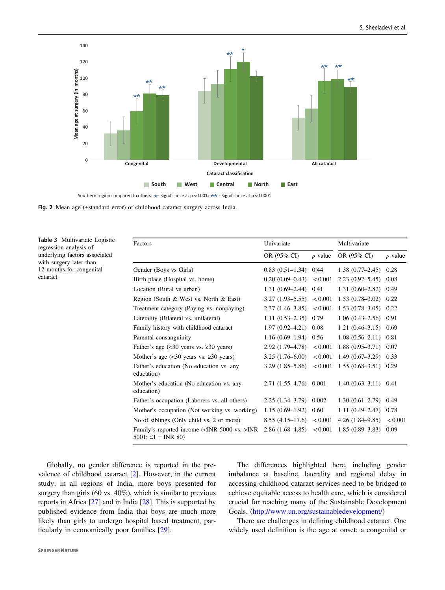<span id="page-6-0"></span>

Table 3 Multivariate Logistic regression analysis of underlying factors associated with surgery later than 12 months for congenital cataract

| Factors                                                                         | Univariate            |              | Multivariate        |           |
|---------------------------------------------------------------------------------|-----------------------|--------------|---------------------|-----------|
|                                                                                 | OR (95% CI)           | $p$ value    | OR (95% CI)         | $p$ value |
| Gender (Boys vs Girls)                                                          | $0.83(0.51-1.34)0.44$ |              | $1.38(0.77-2.45)$   | 0.28      |
| Birth place (Hospital vs. home)                                                 | $0.20(0.09-0.43)$     | < 0.001      | $2.23(0.92 - 5.45)$ | 0.08      |
| Location (Rural vs urban)                                                       | $1.31(0.69-2.44)0.41$ |              | $1.31(0.60 - 2.82)$ | 0.49      |
| Region (South & West vs. North & East)                                          | $3.27(1.93 - 5.55)$   | ${}_{0.001}$ | $1.53(0.78-3.02)$   | 0.22      |
| Treatment category (Paying vs. nonpaying)                                       | $2.37(1.46-3.85)$     | < 0.001      | $1.53(0.78-3.05)$   | 0.22      |
| Laterality (Bilateral vs. unilateral)                                           | $1.11(0.53 - 2.35)$   | 0.79         | $1.06(0.43-2.56)$   | 0.91      |
| Family history with childhood cataract                                          | $1.97(0.92 - 4.21)$   | 0.08         | $1.21(0.46-3.15)$   | 0.69      |
| Parental consanguinity                                                          | $1.16(0.69-1.94)$     | 0.56         | $1.08(0.56 - 2.11)$ | 0.81      |
| Father's age $(30 years vs. \geq 30 years)$                                     | 2.92 (1.79–4.78)      | < 0.001      | $1.88(0.95 - 3.71)$ | 0.07      |
| Mother's age $(30 years vs. \geq 30 years)$                                     | $3.25(1.76-6.00)$     | < 0.001      | $1.49(0.67-3.29)$   | 0.33      |
| Father's education (No education vs. any<br>education)                          | $3.29(1.85 - 5.86)$   | < 0.001      | $1.55(0.68-3.51)$   | 0.29      |
| Mother's education (No education vs. any<br>education)                          | $2.71(1.55-4.76)$     | 0.001        | $1.40(0.63-3.11)$   | 0.41      |
| Father's occupation (Laborers vs. all others)                                   | $2.25(1.34-3.79)$     | 0.002        | $1.30(0.61 - 2.79)$ | 0.49      |
| Mother's occupation (Not working vs. working)                                   | $1.15(0.69-1.92)$     | 0.60         | $1.11(0.49 - 2.47)$ | 0.78      |
| No of siblings (Only child vs. 2 or more)                                       | $8.55(4.15-17.6)$     | ${}_{0.001}$ | $4.26(1.84 - 9.85)$ | < 0.001   |
| Family's reported income ( <inr 5000="" vs.="">INR<br/>5001; £1 = INR 80)</inr> | $2.86(1.68-4.85)$     | < 0.001      | $1.85(0.89-3.83)$   | 0.09      |

Globally, no gender difference is reported in the prevalence of childhood cataract [\[2](#page-8-0)]. However, in the current study, in all regions of India, more boys presented for surgery than girls (60 vs. 40%), which is similar to previous reports in Africa [[27\]](#page-8-0) and in India [\[28](#page-8-0)]. This is supported by published evidence from India that boys are much more likely than girls to undergo hospital based treatment, particularly in economically poor families [\[29](#page-8-0)].

The differences highlighted here, including gender imbalance at baseline, laterality and regional delay in accessing childhood cataract services need to be bridged to achieve equitable access to health care, which is considered crucial for reaching many of the Sustainable Development Goals. [\(http://www.un.org/sustainabledevelopment/\)](http://www.un.org/sustainabledevelopment/)

There are challenges in defining childhood cataract. One widely used definition is the age at onset: a congenital or

Fig. 2 Mean age (±standard error) of childhood cataract surgery across India.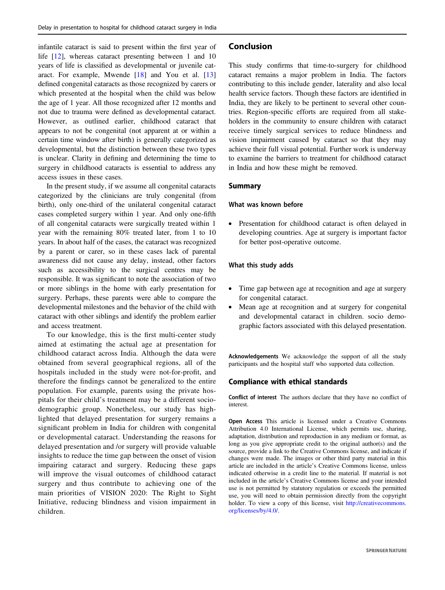infantile cataract is said to present within the first year of life [\[12](#page-8-0)], whereas cataract presenting between 1 and 10 years of life is classified as developmental or juvenile cataract. For example, Mwende [[18\]](#page-8-0) and You et al. [[13\]](#page-8-0) defined congenital cataracts as those recognized by carers or which presented at the hospital when the child was below the age of 1 year. All those recognized after 12 months and not due to trauma were defined as developmental cataract. However, as outlined earlier, childhood cataract that appears to not be congenital (not apparent at or within a certain time window after birth) is generally categorized as developmental, but the distinction between these two types is unclear. Clarity in defining and determining the time to surgery in childhood cataracts is essential to address any access issues in these cases.

In the present study, if we assume all congenital cataracts categorized by the clinicians are truly congenital (from birth), only one-third of the unilateral congenital cataract cases completed surgery within 1 year. And only one-fifth of all congenital cataracts were surgically treated within 1 year with the remaining 80% treated later, from 1 to 10 years. In about half of the cases, the cataract was recognized by a parent or carer, so in these cases lack of parental awareness did not cause any delay, instead, other factors such as accessibility to the surgical centres may be responsible. It was significant to note the association of two or more siblings in the home with early presentation for surgery. Perhaps, these parents were able to compare the developmental milestones and the behavior of the child with cataract with other siblings and identify the problem earlier and access treatment.

To our knowledge, this is the first multi-center study aimed at estimating the actual age at presentation for childhood cataract across India. Although the data were obtained from several geographical regions, all of the hospitals included in the study were not-for-profit, and therefore the findings cannot be generalized to the entire population. For example, parents using the private hospitals for their child's treatment may be a different sociodemographic group. Nonetheless, our study has highlighted that delayed presentation for surgery remains a significant problem in India for children with congenital or developmental cataract. Understanding the reasons for delayed presentation and /or surgery will provide valuable insights to reduce the time gap between the onset of vision impairing cataract and surgery. Reducing these gaps will improve the visual outcomes of childhood cataract surgery and thus contribute to achieving one of the main priorities of VISION 2020: The Right to Sight Initiative, reducing blindness and vision impairment in children.

#### Conclusion

This study confirms that time-to-surgery for childhood cataract remains a major problem in India. The factors contributing to this include gender, laterality and also local health service factors. Though these factors are identified in India, they are likely to be pertinent to several other countries. Region-specific efforts are required from all stakeholders in the community to ensure children with cataract receive timely surgical services to reduce blindness and vision impairment caused by cataract so that they may achieve their full visual potential. Further work is underway to examine the barriers to treatment for childhood cataract in India and how these might be removed.

#### Summary

#### What was known before

● Presentation for childhood cataract is often delayed in developing countries. Age at surgery is important factor for better post-operative outcome.

#### What this study adds

- Time gap between age at recognition and age at surgery for congenital cataract.
- Mean age at recognition and at surgery for congenital and developmental cataract in children. socio demographic factors associated with this delayed presentation.

Acknowledgements We acknowledge the support of all the study participants and the hospital staff who supported data collection.

#### Compliance with ethical standards

Conflict of interest The authors declare that they have no conflict of interest.

Open Access This article is licensed under a Creative Commons Attribution 4.0 International License, which permits use, sharing, adaptation, distribution and reproduction in any medium or format, as long as you give appropriate credit to the original author(s) and the source, provide a link to the Creative Commons license, and indicate if changes were made. The images or other third party material in this article are included in the article's Creative Commons license, unless indicated otherwise in a credit line to the material. If material is not included in the article's Creative Commons license and your intended use is not permitted by statutory regulation or exceeds the permitted use, you will need to obtain permission directly from the copyright holder. To view a copy of this license, visit [http://creativecommons.](http://creativecommons.org/licenses/by/4.0/) [org/licenses/by/4.0/](http://creativecommons.org/licenses/by/4.0/).